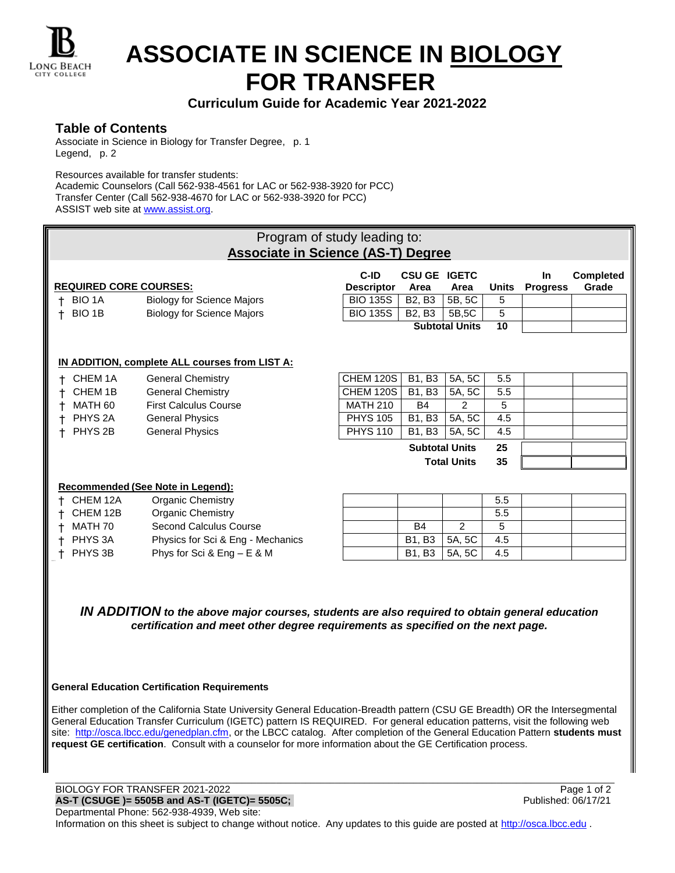

# **ASSOCIATE IN SCIENCE IN BIOLOGY FOR TRANSFER**

# **Curriculum Guide for Academic Year 2021-2022**

### **Table of Contents**

Associate in Science in Biology for Transfer Degree, p. 1 Legend, p. 2

Resources available for transfer students:

Academic Counselors (Call 562-938-4561 for LAC or 562-938-3920 for PCC) Transfer Center (Call 562-938-4670 for LAC or 562-938-3920 for PCC) ASSIST web site at [www.assist.org.](http://www.assist.org/)

| Program of study leading to:<br><b>Associate in Science (AS-T) Degree</b>                                |                                                      |                           |                                 |                       |              |                        |                           |  |  |  |
|----------------------------------------------------------------------------------------------------------|------------------------------------------------------|---------------------------|---------------------------------|-----------------------|--------------|------------------------|---------------------------|--|--|--|
| <b>REQUIRED CORE COURSES:</b>                                                                            |                                                      | C-ID<br><b>Descriptor</b> | <b>CSU GE</b><br>Area           | <b>IGETC</b><br>Area  | <b>Units</b> | In.<br><b>Progress</b> | <b>Completed</b><br>Grade |  |  |  |
| <b>BIO 1A</b>                                                                                            | <b>Biology for Science Majors</b>                    | <b>BIO 135S</b>           | B <sub>2</sub> , B <sub>3</sub> | 5B, 5C                | 5            |                        |                           |  |  |  |
| BIO 1B<br>+                                                                                              | <b>Biology for Science Majors</b>                    | <b>BIO 135S</b>           | B <sub>2</sub> , B <sub>3</sub> | 5B,5C                 | 5            |                        |                           |  |  |  |
|                                                                                                          |                                                      |                           |                                 | <b>Subtotal Units</b> | 10           |                        |                           |  |  |  |
| IN ADDITION, complete ALL courses from LIST A:<br><b>CHEM 120S</b><br>B1, B3<br>5A, 5C<br>5.5<br>CHEM 1A |                                                      |                           |                                 |                       |              |                        |                           |  |  |  |
| CHEM 1B                                                                                                  | <b>General Chemistry</b><br><b>General Chemistry</b> | <b>CHEM 120S</b>          | <b>B1, B3</b>                   | 5A, 5C                | 5.5          |                        |                           |  |  |  |
| MATH 60                                                                                                  | <b>First Calculus Course</b>                         | <b>MATH 210</b>           | <b>B4</b>                       | $\overline{2}$        | 5            |                        |                           |  |  |  |
| PHYS <sub>2A</sub>                                                                                       | <b>General Physics</b>                               | <b>PHYS 105</b>           | B1, B3                          | 5A, 5C                | 4.5          |                        |                           |  |  |  |
| PHYS <sub>2B</sub>                                                                                       | <b>General Physics</b>                               | <b>PHYS 110</b>           | B1, B3                          | 5A, 5C                | 4.5          |                        |                           |  |  |  |
|                                                                                                          |                                                      |                           | <b>Subtotal Units</b>           |                       | 25           |                        |                           |  |  |  |
|                                                                                                          |                                                      |                           | <b>Total Units</b>              |                       | 35           |                        |                           |  |  |  |
|                                                                                                          |                                                      |                           |                                 |                       |              |                        |                           |  |  |  |
| Recommended (See Note in Legend):                                                                        |                                                      |                           |                                 |                       |              |                        |                           |  |  |  |
| CHEM 12A                                                                                                 | <b>Organic Chemistry</b>                             |                           |                                 |                       | 5.5          |                        |                           |  |  |  |
| CHEM 12B                                                                                                 | <b>Organic Chemistry</b>                             |                           |                                 |                       | 5.5          |                        |                           |  |  |  |
| MATH 70                                                                                                  | Second Calculus Course                               |                           | <b>B4</b>                       | $\overline{2}$        | 5            |                        |                           |  |  |  |
| PHYS <sub>3</sub> A                                                                                      | Physics for Sci & Eng - Mechanics                    |                           | B1, B3                          | 5A, 5C                | 4.5          |                        |                           |  |  |  |
| PHYS 3B                                                                                                  | Phys for Sci & Eng $- E $ & M                        |                           | <b>B1, B3</b>                   | 5A, 5C                | 4.5          |                        |                           |  |  |  |

*IN ADDITION to the above major courses, students are also required to obtain general education certification and meet other degree requirements as specified on the next page.*

#### **General Education Certification Requirements**

Either completion of the California State University General Education-Breadth pattern (CSU GE Breadth) OR the Intersegmental General Education Transfer Curriculum (IGETC) pattern IS REQUIRED. For general education patterns, visit the following web site: [http://osca.lbcc.edu/genedplan.cfm,](http://osca.lbcc.edu/genedplan.cfm) or the LBCC catalog. After completion of the General Education Pattern **students must request GE certification**. Consult with a counselor for more information about the GE Certification process.

\_\_\_\_\_\_\_\_\_\_\_\_\_\_\_\_\_\_\_\_\_\_\_\_\_\_\_\_\_\_\_\_\_\_\_\_\_\_\_\_\_\_\_\_\_\_\_\_\_\_\_\_\_\_\_\_\_\_\_\_\_\_\_\_\_\_\_\_\_\_\_\_\_\_\_\_\_\_\_\_\_\_\_\_\_\_\_\_\_\_\_\_\_\_\_\_\_\_\_\_\_\_\_\_\_\_\_\_\_\_\_\_\_\_